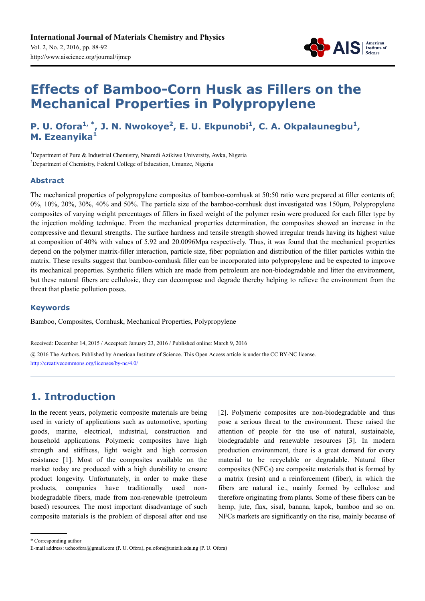

# **Effects of Bamboo-Corn Husk as Fillers on the Mechanical Properties in Polypropylene**

## **P. U. Ofora<sup>1,\*</sup>, J. N. Nwokoye<sup>2</sup>, E. U. Ekpunobi<sup>1</sup>, C. A. Okpalaunegbu<sup>1</sup>, M. Ezeanyika<sup>1</sup>**

<sup>1</sup>Department of Pure & Industrial Chemistry, Nnamdi Azikiwe University, Awka, Nigeria <sup>2</sup>Department of Chemistry, Federal College of Education, Umunze, Nigeria

#### **Abstract**

The mechanical properties of polypropylene composites of bamboo-cornhusk at 50:50 ratio were prepared at filler contents of; 0%, 10%, 20%, 30%, 40% and 50%. The particle size of the bamboo-cornhusk dust investigated was 150µm, Polypropylene composites of varying weight percentages of fillers in fixed weight of the polymer resin were produced for each filler type by the injection molding technique. From the mechanical properties determination, the composites showed an increase in the compressive and flexural strengths. The surface hardness and tensile strength showed irregular trends having its highest value at composition of 40% with values of 5.92 and 20.0096Mpa respectively. Thus, it was found that the mechanical properties depend on the polymer matrix-filler interaction, particle size, fiber population and distribution of the filler particles within the matrix. These results suggest that bamboo-cornhusk filler can be incorporated into polypropylene and be expected to improve its mechanical properties. Synthetic fillers which are made from petroleum are non-biodegradable and litter the environment, but these natural fibers are cellulosic, they can decompose and degrade thereby helping to relieve the environment from the threat that plastic pollution poses.

#### **Keywords**

Bamboo, Composites, Cornhusk, Mechanical Properties, Polypropylene

Received: December 14, 2015 / Accepted: January 23, 2016 / Published online: March 9, 2016

@ 2016 The Authors. Published by American Institute of Science. This Open Access article is under the CC BY-NC license. http://creativecommons.org/licenses/by-nc/4.0/

# **1. Introduction**

In the recent years, polymeric composite materials are being used in variety of applications such as automotive, sporting goods, marine, electrical, industrial, construction and household applications. Polymeric composites have high strength and stiffness, light weight and high corrosion resistance [1]. Most of the composites available on the market today are produced with a high durability to ensure product longevity. Unfortunately, in order to make these products, companies have traditionally used nonbiodegradable fibers, made from non-renewable (petroleum based) resources. The most important disadvantage of such composite materials is the problem of disposal after end use [2]. Polymeric composites are non-biodegradable and thus pose a serious threat to the environment. These raised the attention of people for the use of natural, sustainable, biodegradable and renewable resources [3]. In modern production environment, there is a great demand for every material to be recyclable or degradable. Natural fiber composites (NFCs) are composite materials that is formed by a matrix (resin) and a reinforcement (fiber), in which the fibers are natural i.e., mainly formed by cellulose and therefore originating from plants. Some of these fibers can be hemp, jute, flax, sisal, banana, kapok, bamboo and so on. NFCs markets are significantly on the rise, mainly because of

\* Corresponding author

E-mail address: ucheofora@gmail.com (P. U. Ofora), pu.ofora@unizik.edu.ng (P. U. Ofora)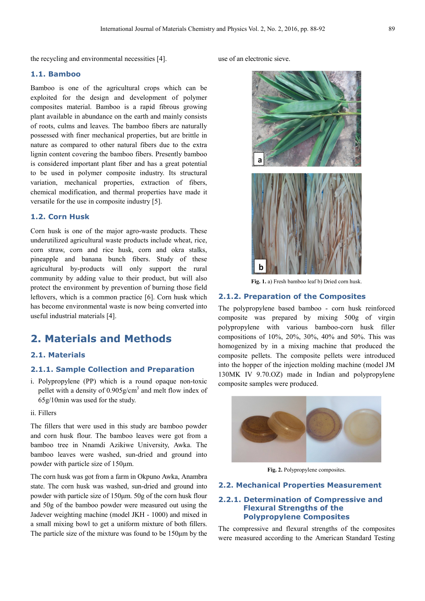the recycling and environmental necessities [4].

#### **1.1. Bamboo**

Bamboo is one of the agricultural crops which can be exploited for the design and development of polymer composites material. Bamboo is a rapid fibrous growing plant available in abundance on the earth and mainly consists of roots, culms and leaves. The bamboo fibers are naturally possessed with finer mechanical properties, but are brittle in nature as compared to other natural fibers due to the extra lignin content covering the bamboo fibers. Presently bamboo is considered important plant fiber and has a great potential to be used in polymer composite industry. Its structural variation, mechanical properties, extraction of fibers, chemical modification, and thermal properties have made it versatile for the use in composite industry [5].

#### **1.2. Corn Husk**

Corn husk is one of the major agro-waste products. These underutilized agricultural waste products include wheat, rice, corn straw, corn and rice husk, corn and okra stalks, pineapple and banana bunch fibers. Study of these agricultural by-products will only support the rural community by adding value to their product, but will also protect the environment by prevention of burning those field leftovers, which is a common practice [6]. Corn husk which has become environmental waste is now being converted into useful industrial materials [4].

### **2. Materials and Methods**

#### **2.1. Materials**

#### **2.1.1. Sample Collection and Preparation**

- i. Polypropylene (PP) which is a round opaque non-toxic pellet with a density of  $0.905$  g/cm<sup>3</sup> and melt flow index of 65g/10min was used for the study.
- ii. Fillers

The fillers that were used in this study are bamboo powder and corn husk flour. The bamboo leaves were got from a bamboo tree in Nnamdi Azikiwe University, Awka. The bamboo leaves were washed, sun-dried and ground into powder with particle size of 150µm.

The corn husk was got from a farm in Okpuno Awka, Anambra state. The corn husk was washed, sun-dried and ground into powder with particle size of 150µm. 50g of the corn husk flour and 50g of the bamboo powder were measured out using the Jadever weighting machine (model JKH - 1000) and mixed in a small mixing bowl to get a uniform mixture of both fillers. The particle size of the mixture was found to be 150µm by the use of an electronic sieve.



**Fig. 1.** a) Fresh bamboo leaf b) Dried corn husk.

#### **2.1.2. Preparation of the Composites**

The polypropylene based bamboo - corn husk reinforced composite was prepared by mixing 500g of virgin polypropylene with various bamboo-corn husk filler compositions of 10%, 20%, 30%, 40% and 50%. This was homogenized by in a mixing machine that produced the composite pellets. The composite pellets were introduced into the hopper of the injection molding machine (model JM 130MK IV 9.70.OZ) made in Indian and polypropylene composite samples were produced.



**Fig. 2.** Polypropylene composites.

#### **2.2. Mechanical Properties Measurement**

#### **2.2.1. Determination of Compressive and Flexural Strengths of the Polypropylene Composites**

The compressive and flexural strengths of the composites were measured according to the American Standard Testing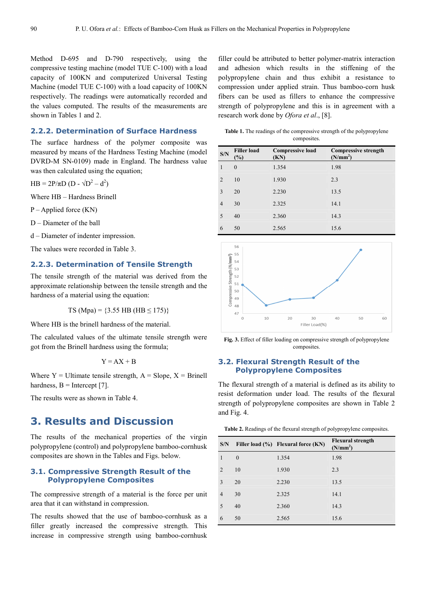Method D-695 and D-790 respectively, using the compressive testing machine (model TUE C-100) with a load capacity of 100KN and computerized Universal Testing Machine (model TUE C-100) with a load capacity of 100KN respectively. The readings were automatically recorded and the values computed. The results of the measurements are shown in Tables 1 and 2.

#### **2.2.2. Determination of Surface Hardness**

The surface hardness of the polymer composite was measured by means of the Hardness Testing Machine (model DVRD-M SN-0109) made in England. The hardness value was then calculated using the equation;

 $HB = 2P/\pi D (D - \sqrt{D^2 - d^2})$ 

Where HB – Hardness Brinell

P – Applied force (KN)

D – Diameter of the ball

d – Diameter of indenter impression.

The values were recorded in Table 3.

#### **2.2.3. Determination of Tensile Strength**

The tensile strength of the material was derived from the approximate relationship between the tensile strength and the hardness of a material using the equation:

TS (Mpa) =  $\{3.55$  HB (HB < 175)}

Where HB is the brinell hardness of the material.

The calculated values of the ultimate tensile strength were got from the Brinell hardness using the formula;

$$
Y = AX + B
$$

Where  $Y =$  Ultimate tensile strength,  $A =$  Slope,  $X =$  Brinell hardness,  $B =$  Intercept [7].

The results were as shown in Table 4.

### **3. Results and Discussion**

The results of the mechanical properties of the virgin polypropylene (control) and polypropylene bamboo-cornhusk composites are shown in the Tables and Figs. below.

#### **3.1. Compressive Strength Result of the Polypropylene Composites**

The compressive strength of a material is the force per unit area that it can withstand in compression.

The results showed that the use of bamboo-cornhusk as a filler greatly increased the compressive strength. This increase in compressive strength using bamboo-cornhusk

filler could be attributed to better polymer-matrix interaction and adhesion which results in the stiffening of the polypropylene chain and thus exhibit a resistance to compression under applied strain. Thus bamboo-corn husk fibers can be used as fillers to enhance the compressive strength of polypropylene and this is in agreement with a research work done by *Ofora et al*., [8].

| <b>Table 1.</b> The readings of the compressive strength of the polypropylene |
|-------------------------------------------------------------------------------|
| composites.                                                                   |

| S/N            | <b>Filler load</b><br>$(\%)$ | <b>Compressive load</b><br>(KN) | <b>Compressive strength</b><br>(N/mm <sup>2</sup> ) |
|----------------|------------------------------|---------------------------------|-----------------------------------------------------|
| 1              | $\theta$                     | 1.354                           | 1.98                                                |
| 2              | 10                           | 1.930                           | 2.3                                                 |
| 3              | 20                           | 2.230                           | 13.5                                                |
| $\overline{4}$ | 30                           | 2.325                           | 14.1                                                |
| 5              | 40                           | 2.360                           | 14.3                                                |
| 6              | 50                           | 2.565                           | 15.6                                                |





#### **3.2. Flexural Strength Result of the Polypropylene Composites**

The flexural strength of a material is defined as its ability to resist deformation under load. The results of the flexural strength of polypropylene composites are shown in Table 2 and Fig. 4.

| S/N            |          | Filler load (%) Flexural force (KN) | <b>Flexural strength</b><br>(N/mm <sup>2</sup> ) |
|----------------|----------|-------------------------------------|--------------------------------------------------|
| 1              | $\theta$ | 1.354                               | 1.98                                             |
| $\mathfrak{D}$ | 10       | 1.930                               | 2.3                                              |
| 3              | 20       | 2.230                               | 13.5                                             |
| 4              | 30       | 2.325                               | 14.1                                             |
| 5              | 40       | 2.360                               | 14.3                                             |
| 6              | 50       | 2.565                               | 15.6                                             |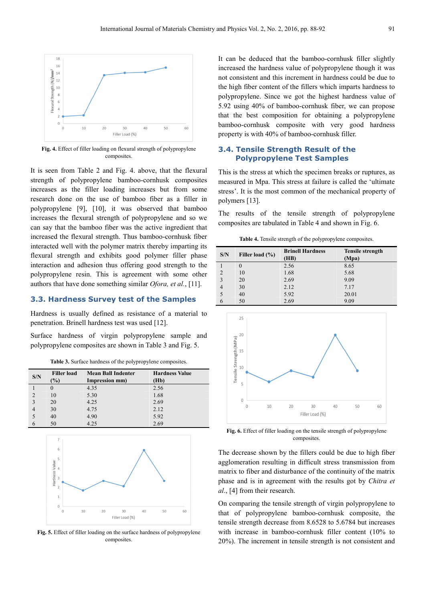

**Fig. 4.** Effect of filler loading on flexural strength of polypropylene composites.

It is seen from Table 2 and Fig. 4. above, that the flexural strength of polypropylene bamboo-cornhusk composites increases as the filler loading increases but from some research done on the use of bamboo fiber as a filler in polypropylene [9], [10], it was observed that bamboo increases the flexural strength of polypropylene and so we can say that the bamboo fiber was the active ingredient that increased the flexural strength. Thus bamboo-cornhusk fiber interacted well with the polymer matrix thereby imparting its flexural strength and exhibits good polymer filler phase interaction and adhesion thus offering good strength to the polypropylene resin. This is agreement with some other authors that have done something similar *Ofora, et al.*, [11].

#### **3.3. Hardness Survey test of the Samples**

Hardness is usually defined as resistance of a material to penetration. Brinell hardness test was used [12].

Surface hardness of virgin polypropylene sample and polypropylene composites are shown in Table 3 and Fig. 5.

| <b>Table 3.</b> Surface hardness of the polypropylene composites. |  |
|-------------------------------------------------------------------|--|
|-------------------------------------------------------------------|--|

|     | <b>Filler load</b> | <b>Mean Ball Indenter</b> | <b>Hardness Value</b> |
|-----|--------------------|---------------------------|-----------------------|
| S/N | $\frac{1}{2}$      | Impression mm)            | (Hb)                  |
|     |                    |                           |                       |
|     |                    | 4.35                      | 2.56                  |
|     | 10                 | 5.30                      | 1.68                  |
|     | 20                 | 4.25                      | 2.69                  |
|     | 30                 | 4.75                      | 2.12                  |
|     | 40                 | 4.90                      | 5.92                  |
|     | 50                 | 4.25                      | 2.69                  |



**Fig. 5.** Effect of filler loading on the surface hardness of polypropylene composites.

It can be deduced that the bamboo-cornhusk filler slightly increased the hardness value of polypropylene though it was not consistent and this increment in hardness could be due to the high fiber content of the fillers which imparts hardness to polypropylene. Since we got the highest hardness value of 5.92 using 40% of bamboo-cornhusk fiber, we can propose that the best composition for obtaining a polypropylene bamboo-cornhusk composite with very good hardness property is with 40% of bamboo-cornhusk filler.

#### **3.4. Tensile Strength Result of the Polypropylene Test Samples**

This is the stress at which the specimen breaks or ruptures, as measured in Mpa. This stress at failure is called the 'ultimate stress'. It is the most common of the mechanical property of polymers [13].

The results of the tensile strength of polypropylene composites are tabulated in Table 4 and shown in Fig. 6.

**Table 4.** Tensile strength of the polypropylene composites.

| S/N            | Filler load (%) | <b>Brinell Hardness</b><br>(HB) | <b>Tensile strength</b><br>(Mpa) |
|----------------|-----------------|---------------------------------|----------------------------------|
|                | 0               | 2.56                            | 8.65                             |
| $\overline{2}$ | 10              | 1.68                            | 5.68                             |
| 3              | 20              | 2.69                            | 9.09                             |
| 4              | 30              | 2.12                            | 7.17                             |
|                | 40              | 5.92                            | 20.01                            |
| 6              | 50              | 2.69                            | 9.09                             |



**Fig. 6.** Effect of filler loading on the tensile strength of polypropylene composites.

The decrease shown by the fillers could be due to high fiber agglomeration resulting in difficult stress transmission from matrix to fiber and disturbance of the continuity of the matrix phase and is in agreement with the results got by *Chitra et al*., [4] from their research.

On comparing the tensile strength of virgin polypropylene to that of polypropylene bamboo-cornhusk composite, the tensile strength decrease from 8.6528 to 5.6784 but increases with increase in bamboo-cornhusk filler content (10% to 20%). The increment in tensile strength is not consistent and